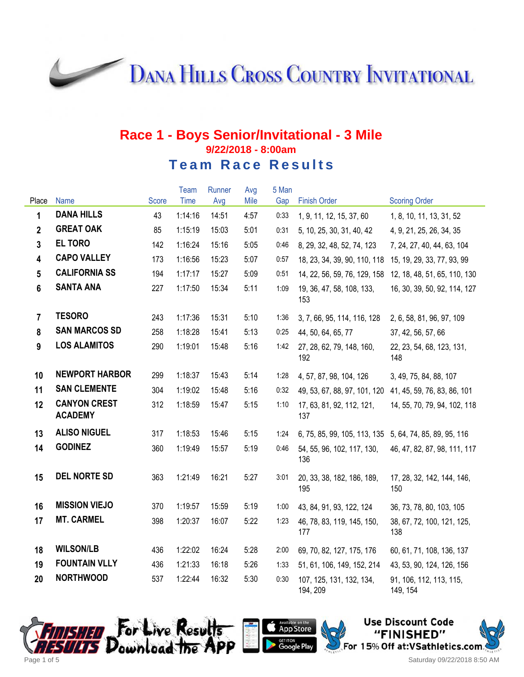**DANA HILLS CROSS COUNTRY INVITATIONAL** 

#### **Race 1 - Boys Senior/Invitational - 3 Mile 9/22/2018 - 8:00am Team Race Results**

|                         |                                       |              | Team        | Runner | Avg  | 5 Man |                                      |                                     |
|-------------------------|---------------------------------------|--------------|-------------|--------|------|-------|--------------------------------------|-------------------------------------|
| Place                   | Name                                  | <b>Score</b> | <b>Time</b> | Avg    | Mile | Gap   | <b>Finish Order</b>                  | <b>Scoring Order</b>                |
| 1                       | <b>DANA HILLS</b>                     | 43           | 1:14:16     | 14:51  | 4:57 | 0:33  | 1, 9, 11, 12, 15, 37, 60             | 1, 8, 10, 11, 13, 31, 52            |
| $\overline{2}$          | <b>GREAT OAK</b>                      | 85           | 1:15:19     | 15:03  | 5:01 | 0:31  | 5, 10, 25, 30, 31, 40, 42            | 4, 9, 21, 25, 26, 34, 35            |
| $\overline{3}$          | <b>EL TORO</b>                        | 142          | 1:16:24     | 15:16  | 5:05 | 0:46  | 8, 29, 32, 48, 52, 74, 123           | 7, 24, 27, 40, 44, 63, 104          |
| $\overline{\mathbf{4}}$ | <b>CAPO VALLEY</b>                    | 173          | 1:16:56     | 15:23  | 5:07 | 0:57  | 18, 23, 34, 39, 90, 110, 118         | 15, 19, 29, 33, 77, 93, 99          |
| $5\phantom{.0}$         | <b>CALIFORNIA SS</b>                  | 194          | 1:17:17     | 15:27  | 5:09 | 0:51  | 14, 22, 56, 59, 76, 129, 158         | 12, 18, 48, 51, 65, 110, 130        |
| 6                       | <b>SANTA ANA</b>                      | 227          | 1:17:50     | 15:34  | 5:11 | 1:09  | 19, 36, 47, 58, 108, 133,<br>153     | 16, 30, 39, 50, 92, 114, 127        |
| $\overline{7}$          | <b>TESORO</b>                         | 243          | 1:17:36     | 15:31  | 5:10 | 1:36  | 3, 7, 66, 95, 114, 116, 128          | 2, 6, 58, 81, 96, 97, 109           |
| 8                       | <b>SAN MARCOS SD</b>                  | 258          | 1:18:28     | 15:41  | 5:13 | 0:25  | 44, 50, 64, 65, 77                   | 37, 42, 56, 57, 66                  |
| 9                       | <b>LOS ALAMITOS</b>                   | 290          | 1:19:01     | 15:48  | 5:16 | 1:42  | 27, 28, 62, 79, 148, 160,<br>192     | 22, 23, 54, 68, 123, 131,<br>148    |
| 10                      | <b>NEWPORT HARBOR</b>                 | 299          | 1:18:37     | 15:43  | 5:14 | 1:28  | 4, 57, 87, 98, 104, 126              | 3, 49, 75, 84, 88, 107              |
| 11                      | <b>SAN CLEMENTE</b>                   | 304          | 1:19:02     | 15:48  | 5:16 | 0:32  | 49, 53, 67, 88, 97, 101, 120         | 41, 45, 59, 76, 83, 86, 101         |
| 12                      | <b>CANYON CREST</b><br><b>ACADEMY</b> | 312          | 1:18:59     | 15:47  | 5:15 | 1:10  | 17, 63, 81, 92, 112, 121,<br>137     | 14, 55, 70, 79, 94, 102, 118        |
| 13                      | <b>ALISO NIGUEL</b>                   | 317          | 1:18:53     | 15:46  | 5:15 | 1:24  | 6, 75, 85, 99, 105, 113, 135         | 5, 64, 74, 85, 89, 95, 116          |
| 14                      | <b>GODINEZ</b>                        | 360          | 1:19:49     | 15:57  | 5:19 | 0:46  | 54, 55, 96, 102, 117, 130,<br>136    | 46, 47, 82, 87, 98, 111, 117        |
| 15                      | <b>DEL NORTE SD</b>                   | 363          | 1:21:49     | 16:21  | 5:27 | 3:01  | 20, 33, 38, 182, 186, 189,<br>195    | 17, 28, 32, 142, 144, 146,<br>150   |
| 16                      | <b>MISSION VIEJO</b>                  | 370          | 1:19:57     | 15:59  | 5:19 | 1:00  | 43, 84, 91, 93, 122, 124             | 36, 73, 78, 80, 103, 105            |
| 17                      | <b>MT. CARMEL</b>                     | 398          | 1:20:37     | 16:07  | 5:22 | 1:23  | 46, 78, 83, 119, 145, 150,<br>177    | 38, 67, 72, 100, 121, 125,<br>138   |
| 18                      | <b>WILSON/LB</b>                      | 436          | 1:22:02     | 16:24  | 5:28 | 2:00  | 69, 70, 82, 127, 175, 176            | 60, 61, 71, 108, 136, 137           |
| 19                      | <b>FOUNTAIN VLLY</b>                  | 436          | 1:21:33     | 16:18  | 5:26 | 1:33  | 51, 61, 106, 149, 152, 214           | 43, 53, 90, 124, 126, 156           |
| 20                      | <b>NORTHWOOD</b>                      | 537          | 1:22:44     | 16:32  | 5:30 | 0:30  | 107, 125, 131, 132, 134,<br>194, 209 | 91, 106, 112, 113, 115,<br>149, 154 |





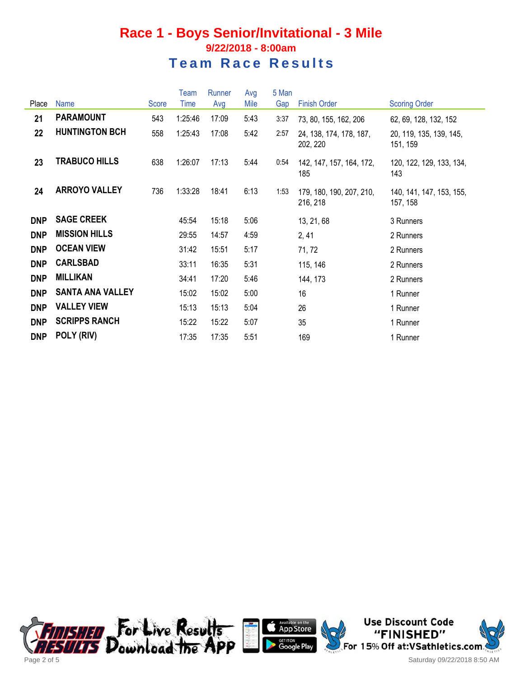#### **Race 1 - Boys Senior/Invitational - 3 Mile 9/22/2018 - 8:00am Team Race Results**

|            |                         |       | Team    | Runner | Avg  | 5 Man |                                      |                                      |
|------------|-------------------------|-------|---------|--------|------|-------|--------------------------------------|--------------------------------------|
| Place      | <b>Name</b>             | Score | Time    | Avg    | Mile | Gap   | <b>Finish Order</b>                  | <b>Scoring Order</b>                 |
| 21         | <b>PARAMOUNT</b>        | 543   | 1:25:46 | 17:09  | 5:43 | 3:37  | 73, 80, 155, 162, 206                | 62, 69, 128, 132, 152                |
| 22         | <b>HUNTINGTON BCH</b>   | 558   | 1:25:43 | 17:08  | 5:42 | 2:57  | 24, 138, 174, 178, 187,<br>202, 220  | 20, 119, 135, 139, 145,<br>151, 159  |
| 23         | <b>TRABUCO HILLS</b>    | 638   | 1:26:07 | 17:13  | 5:44 | 0:54  | 142, 147, 157, 164, 172,<br>185      | 120, 122, 129, 133, 134,<br>143      |
| 24         | <b>ARROYO VALLEY</b>    | 736   | 1:33:28 | 18:41  | 6:13 | 1:53  | 179, 180, 190, 207, 210,<br>216, 218 | 140, 141, 147, 153, 155,<br>157, 158 |
| <b>DNP</b> | <b>SAGE CREEK</b>       |       | 45:54   | 15:18  | 5:06 |       | 13, 21, 68                           | 3 Runners                            |
| <b>DNP</b> | <b>MISSION HILLS</b>    |       | 29:55   | 14:57  | 4:59 |       | 2,41                                 | 2 Runners                            |
| <b>DNP</b> | <b>OCEAN VIEW</b>       |       | 31:42   | 15:51  | 5:17 |       | 71, 72                               | 2 Runners                            |
| <b>DNP</b> | <b>CARLSBAD</b>         |       | 33:11   | 16:35  | 5:31 |       | 115, 146                             | 2 Runners                            |
| <b>DNP</b> | <b>MILLIKAN</b>         |       | 34:41   | 17:20  | 5:46 |       | 144, 173                             | 2 Runners                            |
| <b>DNP</b> | <b>SANTA ANA VALLEY</b> |       | 15:02   | 15:02  | 5:00 |       | 16                                   | 1 Runner                             |
| <b>DNP</b> | <b>VALLEY VIEW</b>      |       | 15:13   | 15:13  | 5:04 |       | 26                                   | 1 Runner                             |
| <b>DNP</b> | <b>SCRIPPS RANCH</b>    |       | 15:22   | 15:22  | 5:07 |       | 35                                   | 1 Runner                             |
| <b>DNP</b> | POLY (RIV)              |       | 17:35   | 17:35  | 5:51 |       | 169                                  | 1 Runner                             |





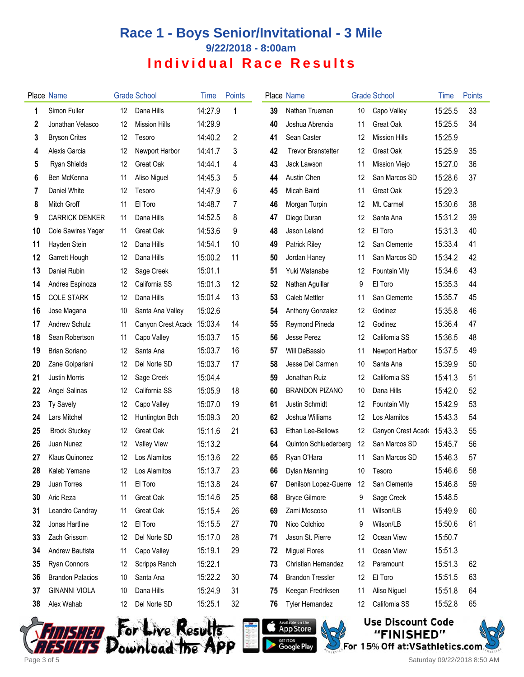# **Race 1 - Boys Senior/Invitational - 3 Mile 9/22/2018 - 8:00am Individual Race Results**

|    | Place Name              |    | <b>Grade School</b>  | <b>lime</b> | Points |    | <b>Place Name</b>         |    | <b>Grade School</b>        | Time    | Points |
|----|-------------------------|----|----------------------|-------------|--------|----|---------------------------|----|----------------------------|---------|--------|
| 1  | Simon Fuller            | 12 | Dana Hills           | 14:27.9     | 1      | 39 | Nathan Trueman            | 10 | Capo Valley                | 15:25.5 | 33     |
| 2  | Jonathan Velasco        | 12 | <b>Mission Hills</b> | 14:29.9     |        | 40 | Joshua Abrencia           | 11 | <b>Great Oak</b>           | 15:25.5 | 34     |
| 3  | <b>Bryson Crites</b>    | 12 | Tesoro               | 14:40.2     | 2      | 41 | Sean Caster               | 12 | <b>Mission Hills</b>       | 15:25.9 |        |
| 4  | Alexis Garcia           | 12 | Newport Harbor       | 14:41.7     | 3      | 42 | <b>Trevor Branstetter</b> | 12 | Great Oak                  | 15:25.9 | 35     |
| 5  | <b>Ryan Shields</b>     | 12 | Great Oak            | 14:44.1     | 4      | 43 | Jack Lawson               | 11 | Mission Viejo              | 15:27.0 | 36     |
| 6  | Ben McKenna             | 11 | Aliso Niguel         | 14:45.3     | 5      | 44 | Austin Chen               | 12 | San Marcos SD              | 15:28.6 | 37     |
| 7  | Daniel White            | 12 | Tesoro               | 14:47.9     | 6      | 45 | Micah Baird               | 11 | Great Oak                  | 15:29.3 |        |
| 8  | Mitch Groff             | 11 | El Toro              | 14:48.7     | 7      | 46 | Morgan Turpin             | 12 | Mt. Carmel                 | 15:30.6 | 38     |
| 9  | <b>CARRICK DENKER</b>   | 11 | Dana Hills           | 14:52.5     | 8      | 47 | Diego Duran               | 12 | Santa Ana                  | 15:31.2 | 39     |
| 10 | Cole Sawires Yager      | 11 | Great Oak            | 14:53.6     | 9      | 48 | Jason Leland              | 12 | El Toro                    | 15:31.3 | 40     |
| 11 | Hayden Stein            | 12 | Dana Hills           | 14:54.1     | 10     | 49 | <b>Patrick Riley</b>      | 12 | San Clemente               | 15:33.4 | 41     |
| 12 | Garrett Hough           | 12 | Dana Hills           | 15:00.2     | 11     | 50 | Jordan Haney              | 11 | San Marcos SD              | 15:34.2 | 42     |
| 13 | Daniel Rubin            | 12 | Sage Creek           | 15:01.1     |        | 51 | Yuki Watanabe             | 12 | Fountain VIIy              | 15:34.6 | 43     |
| 14 | Andres Espinoza         | 12 | California SS        | 15:01.3     | 12     | 52 | Nathan Aguillar           | 9  | El Toro                    | 15:35.3 | 44     |
| 15 | <b>COLE STARK</b>       | 12 | Dana Hills           | 15:01.4     | 13     | 53 | Caleb Mettler             | 11 | San Clemente               | 15:35.7 | 45     |
| 16 | Jose Magana             | 10 | Santa Ana Valley     | 15:02.6     |        | 54 | Anthony Gonzalez          | 12 | Godinez                    | 15:35.8 | 46     |
| 17 | Andrew Schulz           | 11 | Canyon Crest Acade   | 15:03.4     | 14     | 55 | Reymond Pineda            | 12 | Godinez                    | 15:36.4 | 47     |
| 18 | Sean Robertson          | 11 | Capo Valley          | 15:03.7     | 15     | 56 | Jesse Perez               | 12 | California SS              | 15:36.5 | 48     |
| 19 | <b>Brian Soriano</b>    | 12 | Santa Ana            | 15:03.7     | 16     | 57 | Will DeBassio             | 11 | Newport Harbor             | 15:37.5 | 49     |
| 20 | Zane Golpariani         | 12 | Del Norte SD         | 15:03.7     | 17     | 58 | Jesse Del Carmen          | 10 | Santa Ana                  | 15:39.9 | 50     |
| 21 | <b>Justin Morris</b>    | 12 | Sage Creek           | 15:04.4     |        | 59 | Jonathan Ruiz             | 12 | California SS              | 15:41.3 | 51     |
| 22 | Angel Salinas           | 12 | California SS        | 15:05.9     | 18     | 60 | <b>BRANDON PIZANO</b>     | 10 | Dana Hills                 | 15:42.0 | 52     |
| 23 | Ty Savely               | 12 | Capo Valley          | 15:07.0     | 19     | 61 | Justin Schmidt            | 12 | Fountain VIIy              | 15:42.9 | 53     |
| 24 | Lars Mitchel            | 12 | Huntington Bch       | 15:09.3     | 20     | 62 | Joshua Williams           | 12 | Los Alamitos               | 15:43.3 | 54     |
| 25 | <b>Brock Stuckey</b>    | 12 | Great Oak            | 15:11.6     | 21     | 63 | Ethan Lee-Bellows         | 12 | Canyon Crest Acade 15:43.3 |         | 55     |
| 26 | Juan Nunez              | 12 | <b>Valley View</b>   | 15:13.2     |        | 64 | Quinton Schluederberg     | 12 | San Marcos SD              | 15:45.7 | 56     |
| 27 | Klaus Quinonez          | 12 | Los Alamitos         | 15:13.6     | 22     | 65 | Ryan O'Hara               | 11 | San Marcos SD              | 15:46.3 | 57     |
| 28 | Kaleb Yemane            |    | 12 Los Alamitos      | 15:13.7     | 23     | 66 | Dylan Manning             | 10 | Tesoro                     | 15:46.6 | 58     |
| 29 | Juan Torres             | 11 | El Toro              | 15:13.8     | 24     | 67 | Denilson Lopez-Guerre     | 12 | San Clemente               | 15:46.8 | 59     |
| 30 | Aric Reza               | 11 | Great Oak            | 15:14.6     | 25     | 68 | <b>Bryce Gilmore</b>      | 9  | Sage Creek                 | 15:48.5 |        |
| 31 | Leandro Candray         | 11 | Great Oak            | 15:15.4     | 26     | 69 | Zami Moscoso              | 11 | Wilson/LB                  | 15:49.9 | 60     |
| 32 | Jonas Hartline          | 12 | El Toro              | 15:15.5     | 27     | 70 | Nico Colchico             | 9  | Wilson/LB                  | 15:50.6 | 61     |
| 33 | Zach Grissom            | 12 | Del Norte SD         | 15:17.0     | 28     | 71 | Jason St. Pierre          | 12 | Ocean View                 | 15:50.7 |        |
| 34 | Andrew Bautista         | 11 | Capo Valley          | 15:19.1     | 29     | 72 | <b>Miguel Flores</b>      | 11 | Ocean View                 | 15:51.3 |        |
| 35 | Ryan Connors            | 12 | Scripps Ranch        | 15:22.1     |        | 73 | Christian Hernandez       | 12 | Paramount                  | 15:51.3 | 62     |
| 36 | <b>Brandon Palacios</b> | 10 | Santa Ana            | 15:22.2     | 30     | 74 | <b>Brandon Tressler</b>   | 12 | El Toro                    | 15:51.5 | 63     |
| 37 | <b>GINANNI VIOLA</b>    | 10 | Dana Hills           | 15:24.9     | 31     | 75 | Keegan Fredriksen         | 11 | Aliso Niguel               | 15:51.8 | 64     |
| 38 | Alex Wahab              | 12 | Del Norte SD         | 15:25.1     | 32     | 76 | Tyler Hernandez           | 12 | California SS              | 15:52.8 | 65     |







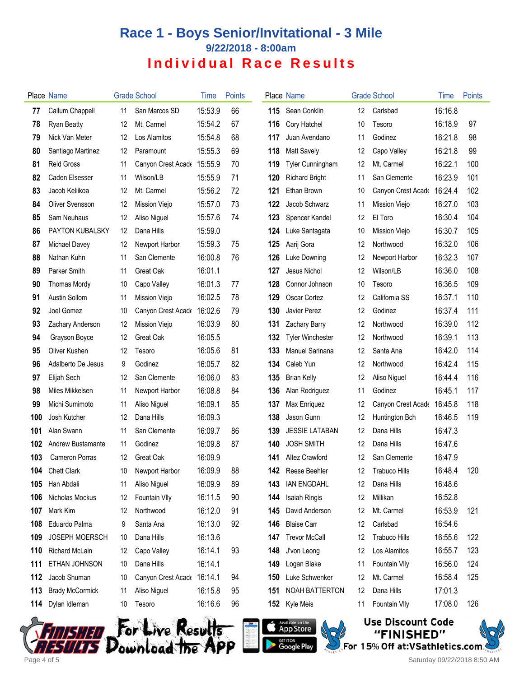# **Race 1 - Boys Senior/Invitational - 3 Mile 9/22/2018 - 8:00am Individual Race Results**

|     | Place Name             |    | <b>Grade School</b>  | <b>Time</b> | <b>Points</b> |     | Place Name              |     | <b>Grade School</b>  | Time    | Points |
|-----|------------------------|----|----------------------|-------------|---------------|-----|-------------------------|-----|----------------------|---------|--------|
| 77  | Callum Chappell        | 11 | San Marcos SD        | 15:53.9     | 66            | 115 | Sean Conklin            | 12. | Carlsbad             | 16:16.8 |        |
| 78  | <b>Ryan Beatty</b>     | 12 | Mt. Carmel           | 15:54.2     | 67            | 116 | Cory Hatchel            | 10  | Tesoro               | 16:18.9 | 97     |
| 79  | Nick Van Meter         | 12 | Los Alamitos         | 15:54.8     | 68            | 117 | Juan Avendano           | 11  | Godinez              | 16:21.8 | 98     |
| 80  | Santiago Martinez      | 12 | Paramount            | 15:55.3     | 69            | 118 | <b>Matt Savely</b>      | 12  | Capo Valley          | 16:21.8 | 99     |
| 81  | <b>Reid Gross</b>      | 11 | Canyon Crest Acade   | 15:55.9     | 70            | 119 | <b>Tyler Cunningham</b> | 12  | Mt. Carmel           | 16:22.1 | 100    |
| 82  | Caden Elsesser         | 11 | Wilson/LB            | 15:55.9     | 71            | 120 | <b>Richard Bright</b>   | 11  | San Clemente         | 16:23.9 | 101    |
| 83  | Jacob Keliikoa         | 12 | Mt. Carmel           | 15:56.2     | 72            | 121 | Ethan Brown             | 10  | Canyon Crest Acade   | 16:24.4 | 102    |
| 84  | <b>Oliver Svensson</b> | 12 | Mission Viejo        | 15:57.0     | 73            | 122 | Jacob Schwarz           | 11  | Mission Viejo        | 16:27.0 | 103    |
| 85  | Sam Neuhaus            | 12 | Aliso Niguel         | 15:57.6     | 74            | 123 | Spencer Kandel          | 12  | El Toro              | 16:30.4 | 104    |
| 86  | PAYTON KUBALSKY        | 12 | Dana Hills           | 15:59.0     |               | 124 | Luke Santagata          | 10  | Mission Viejo        | 16:30.7 | 105    |
| 87  | Michael Davey          | 12 | Newport Harbor       | 15:59.3     | 75            | 125 | Aarij Gora              | 12  | Northwood            | 16:32.0 | 106    |
| 88  | Nathan Kuhn            | 11 | San Clemente         | 16:00.8     | 76            | 126 | Luke Downing            | 12  | Newport Harbor       | 16:32.3 | 107    |
| 89  | Parker Smith           | 11 | Great Oak            | 16:01.1     |               | 127 | Jesus Nichol            | 12  | Wilson/LB            | 16:36.0 | 108    |
| 90  | <b>Thomas Mordy</b>    | 10 | Capo Valley          | 16:01.3     | 77            | 128 | Connor Johnson          | 10  | Tesoro               | 16:36.5 | 109    |
| 91  | Austin Sollom          | 11 | <b>Mission Viejo</b> | 16:02.5     | 78            | 129 | Oscar Cortez            | 12  | California SS        | 16:37.1 | 110    |
| 92  | Joel Gomez             | 10 | Canyon Crest Acade   | 16:02.6     | 79            | 130 | Javier Perez            | 12  | Godinez              | 16:37.4 | 111    |
| 93  | Zachary Anderson       | 12 | Mission Viejo        | 16:03.9     | 80            | 131 | Zachary Barry           | 12  | Northwood            | 16:39.0 | 112    |
| 94  | Grayson Boyce          | 12 | <b>Great Oak</b>     | 16:05.5     |               | 132 | <b>Tyler Winchester</b> | 12  | Northwood            | 16:39.1 | 113    |
| 95  | Oliver Kushen          | 12 | Tesoro               | 16:05.6     | 81            | 133 | <b>Manuel Sarinana</b>  | 12  | Santa Ana            | 16:42.0 | 114    |
| 96  | Adalberto De Jesus     | 9  | Godinez              | 16:05.7     | 82            | 134 | Caleb Yun               | 12  | Northwood            | 16:42.4 | 115    |
| 97  | Elijah Sech            | 12 | San Clemente         | 16:06.0     | 83            | 135 | <b>Brian Kelly</b>      | 12  | Aliso Niguel         | 16:44.4 | 116    |
| 98  | Miles Mikkelsen        | 11 | Newport Harbor       | 16:08.8     | 84            | 136 | Alan Rodriguez          | 11  | Godinez              | 16:45.1 | 117    |
| 99  | Michi Sumimoto         | 11 | Aliso Niguel         | 16:09.1     | 85            | 137 | Max Enriquez            | 12  | Canyon Crest Acade   | 16:45.8 | 118    |
| 100 | Josh Kutcher           | 12 | Dana Hills           | 16:09.3     |               | 138 | Jason Gunn              | 12  | Huntington Bch       | 16:46.5 | 119    |
| 101 | Alan Swann             | 11 | San Clemente         | 16:09.7     | 86            | 139 | <b>JESSIE LATABAN</b>   | 12  | Dana Hills           | 16:47.3 |        |
| 102 | Andrew Bustamante      | 11 | Godinez              | 16:09.8     | 87            | 140 | <b>JOSH SMITH</b>       | 12  | Dana Hills           | 16:47.6 |        |
| 103 | Cameron Porras         | 12 | Great Oak            | 16:09.9     |               | 141 | Altez Crawford          | 12  | San Clemente         | 16:47.9 |        |
| 104 | <b>Chett Clark</b>     | 10 | Newport Harbor       | 16:09.9     | 88            | 142 | Reese Beehler           | 12  | Trabuco Hills        | 16:48.4 | 120    |
| 105 | Han Abdali             | 11 | Aliso Niguel         | 16:09.9     | 89            | 143 | <b>IAN ENGDAHL</b>      | 12  | Dana Hills           | 16:48.6 |        |
| 106 | Nicholas Mockus        | 12 | Fountain Vlly        | 16:11.5     | 90            | 144 | Isaiah Ringis           | 12  | Millikan             | 16:52.8 |        |
| 107 | Mark Kim               | 12 | Northwood            | 16:12.0     | 91            | 145 | David Anderson          | 12  | Mt. Carmel           | 16:53.9 | 121    |
| 108 | Eduardo Palma          | 9  | Santa Ana            | 16:13.0     | 92            | 146 | <b>Blaise Carr</b>      | 12  | Carlsbad             | 16:54.6 |        |
| 109 | JOSEPH MOERSCH         | 10 | Dana Hills           | 16:13.6     |               | 147 | <b>Trevor McCall</b>    | 12  | <b>Trabuco Hills</b> | 16:55.6 | 122    |
| 110 | Richard McLain         | 12 | Capo Valley          | 16:14.1     | 93            | 148 | J'von Leong             | 12  | Los Alamitos         | 16:55.7 | 123    |
| 111 | ETHAN JOHNSON          | 10 | Dana Hills           | 16:14.1     |               | 149 | Logan Blake             | 11  | Fountain VIIy        | 16:56.0 | 124    |
| 112 | Jacob Shuman           | 10 | Canyon Crest Acade   | 16:14.1     | 94            | 150 | Luke Schwenker          | 12  | Mt. Carmel           | 16:58.4 | 125    |
| 113 | <b>Brady McCormick</b> | 11 | Aliso Niguel         | 16:15.8     | 95            | 151 | NOAH BATTERTON          | 12  | Dana Hills           | 17:01.3 |        |
| 114 | Dylan Idleman          | 10 | Tesoro               | 16:16.6     | 96            | 152 | Kyle Meis               | 11  | Fountain Vlly        | 17:08.0 | 126    |